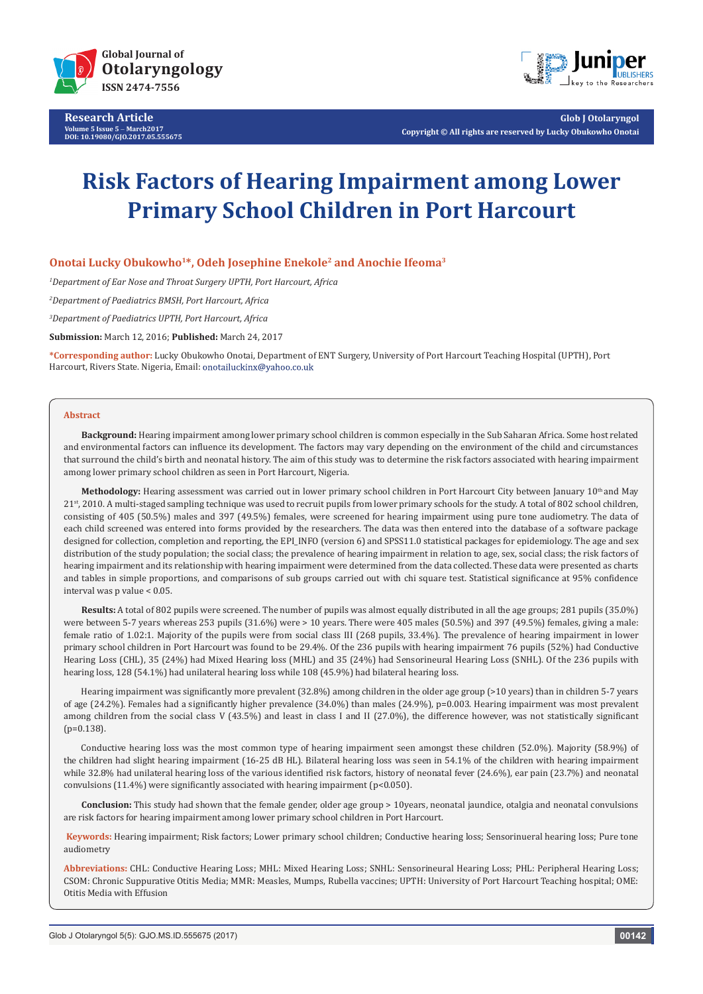

**Research Article Volume 5 Issue 5** - **March2017 DOI: [10.19080/GJO.2017.05.555675](http://dx.doi.org/10.19080/GJO.2017.05.555675
)**



**Glob J Otolaryngol Copyright © All rights are reserved by Lucky Obukowho Onotai**

# **Risk Factors of Hearing Impairment among Lower Primary School Children in Port Harcourt**

## **Onotai Lucky Obukowho1\*, Odeh Josephine Enekole2 and Anochie Ifeoma3**

*1 Department of Ear Nose and Throat Surgery UPTH, Port Harcourt, Africa*

*2 Department of Paediatrics BMSH, Port Harcourt, Africa*

*3 Department of Paediatrics UPTH, Port Harcourt, Africa*

**Submission:** March 12, 2016; **Published:** March 24, 2017

**\*Corresponding author:** Lucky Obukowho Onotai, Department of ENT Surgery, University of Port Harcourt Teaching Hospital (UPTH), Port Harcourt, Rivers State. Nigeria, Email: onotailuckinx@yahoo.co.uk

#### **Abstract**

**Background:** Hearing impairment among lower primary school children is common especially in the Sub Saharan Africa. Some host related and environmental factors can influence its development. The factors may vary depending on the environment of the child and circumstances that surround the child's birth and neonatal history. The aim of this study was to determine the risk factors associated with hearing impairment among lower primary school children as seen in Port Harcourt, Nigeria.

Methodology: Hearing assessment was carried out in lower primary school children in Port Harcourt City between January 10<sup>th</sup> and May 21st, 2010. A multi-staged sampling technique was used to recruit pupils from lower primary schools for the study. A total of 802 school children, consisting of 405 (50.5%) males and 397 (49.5%) females, were screened for hearing impairment using pure tone audiometry. The data of each child screened was entered into forms provided by the researchers. The data was then entered into the database of a software package designed for collection, completion and reporting, the EPI\_INFO (version 6) and SPSS11.0 statistical packages for epidemiology. The age and sex distribution of the study population; the social class; the prevalence of hearing impairment in relation to age, sex, social class; the risk factors of hearing impairment and its relationship with hearing impairment were determined from the data collected. These data were presented as charts and tables in simple proportions, and comparisons of sub groups carried out with chi square test. Statistical significance at 95% confidence interval was p value < 0.05.

**Results:** A total of 802 pupils were screened. The number of pupils was almost equally distributed in all the age groups; 281 pupils (35.0%) were between 5-7 years whereas 253 pupils (31.6%) were > 10 years. There were 405 males (50.5%) and 397 (49.5%) females, giving a male: female ratio of 1.02:1. Majority of the pupils were from social class III (268 pupils, 33.4%). The prevalence of hearing impairment in lower primary school children in Port Harcourt was found to be 29.4%. Of the 236 pupils with hearing impairment 76 pupils (52%) had Conductive Hearing Loss (CHL), 35 (24%) had Mixed Hearing loss (MHL) and 35 (24%) had Sensorineural Hearing Loss (SNHL). Of the 236 pupils with hearing loss, 128 (54.1%) had unilateral hearing loss while 108 (45.9%) had bilateral hearing loss.

Hearing impairment was significantly more prevalent (32.8%) among children in the older age group (>10 years) than in children 5-7 years of age (24.2%). Females had a significantly higher prevalence (34.0%) than males (24.9%), p=0.003. Hearing impairment was most prevalent among children from the social class V (43.5%) and least in class I and II (27.0%), the difference however, was not statistically significant  $(p=0.138)$ .

Conductive hearing loss was the most common type of hearing impairment seen amongst these children (52.0%). Majority (58.9%) of the children had slight hearing impairment (16-25 dB HL). Bilateral hearing loss was seen in 54.1% of the children with hearing impairment while 32.8% had unilateral hearing loss of the various identified risk factors, history of neonatal fever (24.6%), ear pain (23.7%) and neonatal convulsions  $(11.4\%)$  were significantly associated with hearing impairment  $(p<0.050)$ .

**Conclusion:** This study had shown that the female gender, older age group > 10years, neonatal jaundice, otalgia and neonatal convulsions are risk factors for hearing impairment among lower primary school children in Port Harcourt.

**Keywords:** Hearing impairment; Risk factors; Lower primary school children; Conductive hearing loss; Sensorinueral hearing loss; Pure tone audiometry

**Abbreviations:** CHL: Conductive Hearing Loss; MHL: Mixed Hearing Loss; SNHL: Sensorineural Hearing Loss; PHL: Peripheral Hearing Loss; CSOM: Chronic Suppurative Otitis Media; MMR: Measles, Mumps, Rubella vaccines; UPTH: University of Port Harcourt Teaching hospital; OME: Otitis Media with Effusion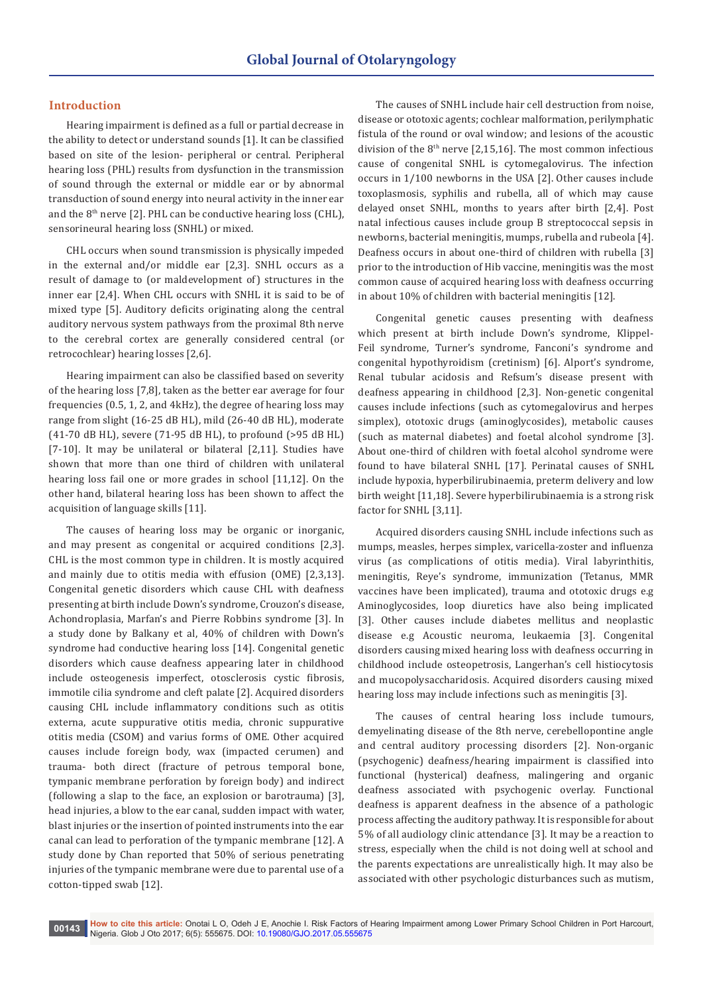## **Introduction**

Hearing impairment is defined as a full or partial decrease in the ability to detect or understand sounds [1]. It can be classified based on site of the lesion- peripheral or central. Peripheral hearing loss (PHL) results from dysfunction in the transmission of sound through the external or middle ear or by abnormal transduction of sound energy into neural activity in the inner ear and the  $8<sup>th</sup>$  nerve [2]. PHL can be conductive hearing loss (CHL), sensorineural hearing loss (SNHL) or mixed.

CHL occurs when sound transmission is physically impeded in the external and/or middle ear [2,3]. SNHL occurs as a result of damage to (or maldevelopment of) structures in the inner ear [2,4]. When CHL occurs with SNHL it is said to be of mixed type [5]. Auditory deficits originating along the central auditory nervous system pathways from the proximal 8th nerve to the cerebral cortex are generally considered central (or retrocochlear) hearing losses [2,6].

Hearing impairment can also be classified based on severity of the hearing loss [7,8], taken as the better ear average for four frequencies (0.5, 1, 2, and 4kHz), the degree of hearing loss may range from slight (16-25 dB HL), mild (26-40 dB HL), moderate (41-70 dB HL), severe (71-95 dB HL), to profound (>95 dB HL) [7-10]. It may be unilateral or bilateral [2,11]. Studies have shown that more than one third of children with unilateral hearing loss fail one or more grades in school [11,12]. On the other hand, bilateral hearing loss has been shown to affect the acquisition of language skills [11].

The causes of hearing loss may be organic or inorganic, and may present as congenital or acquired conditions [2,3]. CHL is the most common type in children. It is mostly acquired and mainly due to otitis media with effusion (OME) [2,3,13]. Congenital genetic disorders which cause CHL with deafness presenting at birth include Down's syndrome, Crouzon's disease, Achondroplasia, Marfan's and Pierre Robbins syndrome [3]. In a study done by Balkany et al, 40% of children with Down's syndrome had conductive hearing loss [14]. Congenital genetic disorders which cause deafness appearing later in childhood include osteogenesis imperfect, otosclerosis cystic fibrosis, immotile cilia syndrome and cleft palate [2]. Acquired disorders causing CHL include inflammatory conditions such as otitis externa, acute suppurative otitis media, chronic suppurative otitis media (CSOM) and varius forms of OME. Other acquired causes include foreign body, wax (impacted cerumen) and trauma- both direct (fracture of petrous temporal bone, tympanic membrane perforation by foreign body) and indirect (following a slap to the face, an explosion or barotrauma) [3], head injuries, a blow to the ear canal, sudden impact with water, blast injuries or the insertion of pointed instruments into the ear canal can lead to perforation of the tympanic membrane [12]. A study done by Chan reported that 50% of serious penetrating injuries of the tympanic membrane were due to parental use of a cotton-tipped swab [12].

The causes of SNHL include hair cell destruction from noise, disease or ototoxic agents; cochlear malformation, perilymphatic fistula of the round or oval window; and lesions of the acoustic division of the  $8<sup>th</sup>$  nerve [2,15,16]. The most common infectious cause of congenital SNHL is cytomegalovirus. The infection occurs in 1/100 newborns in the USA [2]. Other causes include toxoplasmosis, syphilis and rubella, all of which may cause delayed onset SNHL, months to years after birth [2,4]. Post natal infectious causes include group B streptococcal sepsis in newborns, bacterial meningitis, mumps, rubella and rubeola [4]. Deafness occurs in about one-third of children with rubella [3] prior to the introduction of Hib vaccine, meningitis was the most common cause of acquired hearing loss with deafness occurring in about 10% of children with bacterial meningitis [12].

Congenital genetic causes presenting with deafness which present at birth include Down's syndrome, Klippel-Feil syndrome, Turner's syndrome, Fanconi's syndrome and congenital hypothyroidism (cretinism) [6]. Alport's syndrome, Renal tubular acidosis and Refsum's disease present with deafness appearing in childhood [2,3]. Non-genetic congenital causes include infections (such as cytomegalovirus and herpes simplex), ototoxic drugs (aminoglycosides), metabolic causes (such as maternal diabetes) and foetal alcohol syndrome [3]. About one-third of children with foetal alcohol syndrome were found to have bilateral SNHL [17]. Perinatal causes of SNHL include hypoxia, hyperbilirubinaemia, preterm delivery and low birth weight [11,18]. Severe hyperbilirubinaemia is a strong risk factor for SNHL [3,11].

Acquired disorders causing SNHL include infections such as mumps, measles, herpes simplex, varicella-zoster and influenza virus (as complications of otitis media). Viral labyrinthitis, meningitis, Reye's syndrome, immunization (Tetanus, MMR vaccines have been implicated), trauma and ototoxic drugs e.g Aminoglycosides, loop diuretics have also being implicated [3]. Other causes include diabetes mellitus and neoplastic disease e.g Acoustic neuroma, leukaemia [3]. Congenital disorders causing mixed hearing loss with deafness occurring in childhood include osteopetrosis, Langerhan's cell histiocytosis and mucopolysaccharidosis. Acquired disorders causing mixed hearing loss may include infections such as meningitis [3].

The causes of central hearing loss include tumours, demyelinating disease of the 8th nerve, cerebellopontine angle and central auditory processing disorders [2]. Non-organic (psychogenic) deafness/hearing impairment is classified into functional (hysterical) deafness, malingering and organic deafness associated with psychogenic overlay. Functional deafness is apparent deafness in the absence of a pathologic process affecting the auditory pathway. It is responsible for about 5% of all audiology clinic attendance [3]. It may be a reaction to stress, especially when the child is not doing well at school and the parents expectations are unrealistically high. It may also be associated with other psychologic disturbances such as mutism,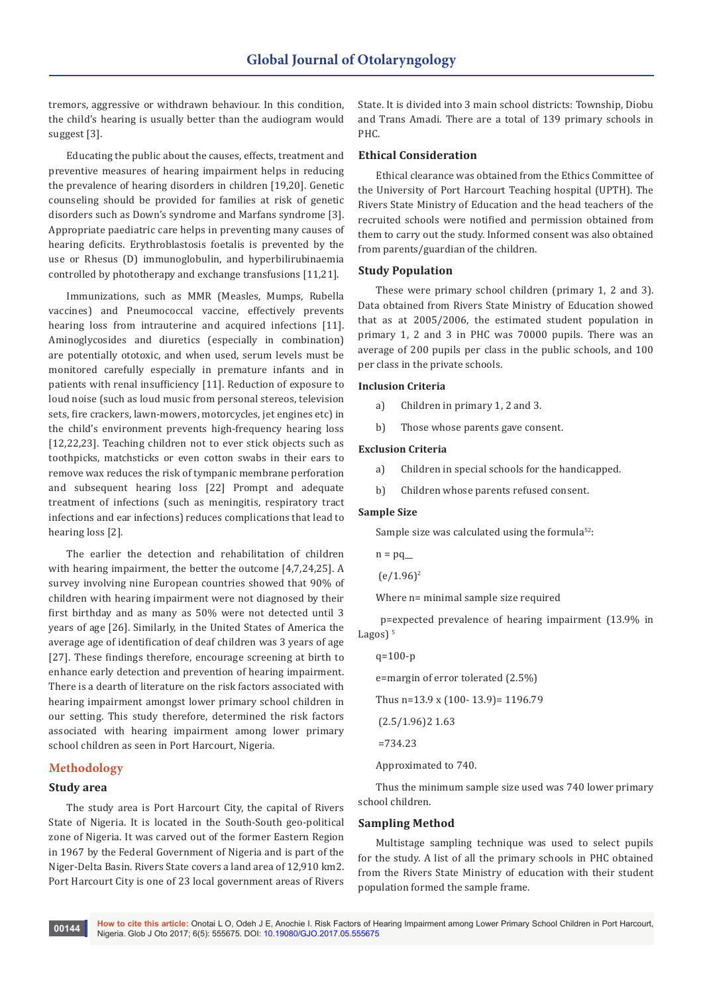tremors, aggressive or withdrawn behaviour. In this condition, the child's hearing is usually better than the audiogram would suggest [3].

Educating the public about the causes, effects, treatment and preventive measures of hearing impairment helps in reducing the prevalence of hearing disorders in children [19,20]. Genetic counseling should be provided for families at risk of genetic disorders such as Down's syndrome and Marfans syndrome [3]. Appropriate paediatric care helps in preventing many causes of hearing deficits. Erythroblastosis foetalis is prevented by the use or Rhesus (D) immunoglobulin, and hyperbilirubinaemia controlled by phototherapy and exchange transfusions [11,21].

Immunizations, such as MMR (Measles, Mumps, Rubella vaccines) and Pneumococcal vaccine, effectively prevents hearing loss from intrauterine and acquired infections [11]. Aminoglycosides and diuretics (especially in combination) are potentially ototoxic, and when used, serum levels must be monitored carefully especially in premature infants and in patients with renal insufficiency [11]. Reduction of exposure to loud noise (such as loud music from personal stereos, television sets, fire crackers, lawn-mowers, motorcycles, jet engines etc) in the child's environment prevents high-frequency hearing loss [12,22,23]. Teaching children not to ever stick objects such as toothpicks, matchsticks or even cotton swabs in their ears to remove wax reduces the risk of tympanic membrane perforation and subsequent hearing loss [22] Prompt and adequate treatment of infections (such as meningitis, respiratory tract infections and ear infections) reduces complications that lead to hearing loss [2].

The earlier the detection and rehabilitation of children with hearing impairment, the better the outcome [4,7,24,25]. A survey involving nine European countries showed that 90% of children with hearing impairment were not diagnosed by their first birthday and as many as 50% were not detected until 3 years of age [26]. Similarly, in the United States of America the average age of identification of deaf children was 3 years of age [27]. These findings therefore, encourage screening at birth to enhance early detection and prevention of hearing impairment. There is a dearth of literature on the risk factors associated with hearing impairment amongst lower primary school children in our setting. This study therefore, determined the risk factors associated with hearing impairment among lower primary school children as seen in Port Harcourt, Nigeria.

## **Methodology**

#### **Study area**

The study area is Port Harcourt City, the capital of Rivers State of Nigeria. It is located in the South-South geo-political zone of Nigeria. It was carved out of the former Eastern Region in 1967 by the Federal Government of Nigeria and is part of the Niger-Delta Basin. Rivers State covers a land area of 12,910 km2. Port Harcourt City is one of 23 local government areas of Rivers

State. It is divided into 3 main school districts: Township, Diobu and Trans Amadi. There are a total of 139 primary schools in PHC.

#### **Ethical Consideration**

Ethical clearance was obtained from the Ethics Committee of the University of Port Harcourt Teaching hospital (UPTH). The Rivers State Ministry of Education and the head teachers of the recruited schools were notified and permission obtained from them to carry out the study. Informed consent was also obtained from parents/guardian of the children.

#### **Study Population**

These were primary school children (primary 1, 2 and 3). Data obtained from Rivers State Ministry of Education showed that as at 2005/2006, the estimated student population in primary 1, 2 and 3 in PHC was 70000 pupils. There was an average of 200 pupils per class in the public schools, and 100 per class in the private schools.

#### **Inclusion Criteria**

a) Children in primary 1, 2 and 3.

b) Those whose parents gave consent.

#### **Exclusion Criteria**

- a) Children in special schools for the handicapped.
- b) Children whose parents refused consent.

#### **Sample Size**

Sample size was calculated using the formula $52$ :

```
n = pq
```

```
(e/1.96)^2
```
Where n= minimal sample size required

 p=expected prevalence of hearing impairment (13.9% in Lagos $)$ <sup>5</sup>

```
q=100-p
e=margin of error tolerated (2.5%)
Thus n=13.9 x (100- 13.9)= 1196.79
 (2.5/1.96)2 1.63
=734.23
```
Approximated to 740.

Thus the minimum sample size used was 740 lower primary school children.

#### **Sampling Method**

Multistage sampling technique was used to select pupils for the study. A list of all the primary schools in PHC obtained from the Rivers State Ministry of education with their student population formed the sample frame.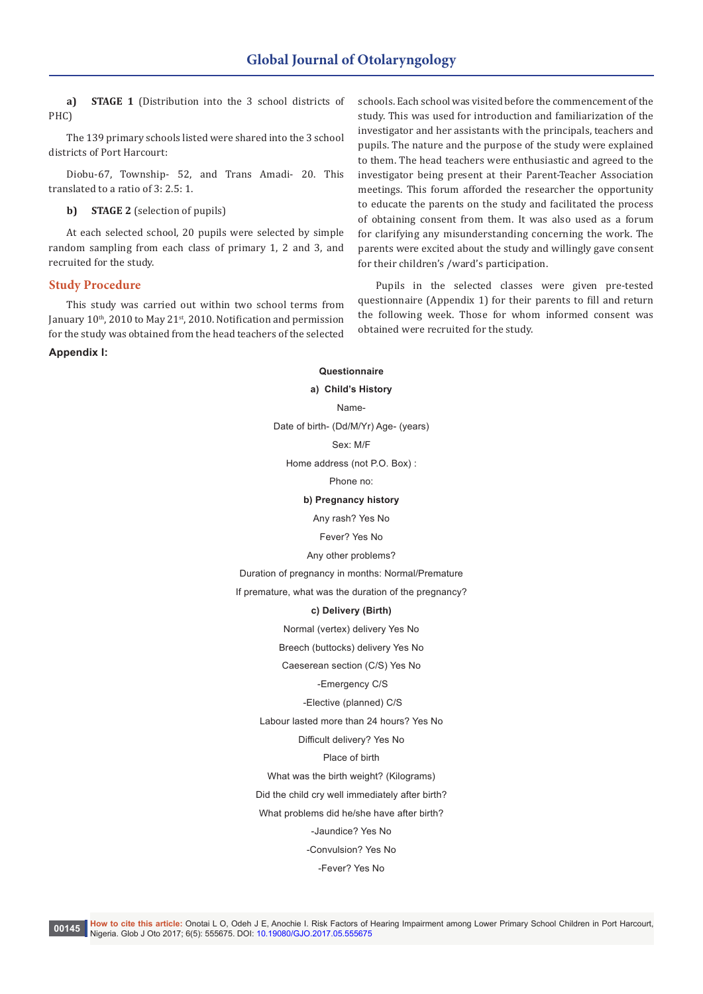**a) STAGE 1** (Distribution into the 3 school districts of PHC)

The 139 primary schools listed were shared into the 3 school districts of Port Harcourt:

Diobu-67, Township- 52, and Trans Amadi- 20. This translated to a ratio of 3: 2.5: 1.

**b) STAGE 2** (selection of pupils)

At each selected school, 20 pupils were selected by simple random sampling from each class of primary 1, 2 and 3, and recruited for the study.

#### **Study Procedure**

This study was carried out within two school terms from January 10<sup>th</sup>, 2010 to May 21<sup>st</sup>, 2010. Notification and permission for the study was obtained from the head teachers of the selected

**Appendix I:**

schools. Each school was visited before the commencement of the study. This was used for introduction and familiarization of the investigator and her assistants with the principals, teachers and pupils. The nature and the purpose of the study were explained to them. The head teachers were enthusiastic and agreed to the investigator being present at their Parent-Teacher Association meetings. This forum afforded the researcher the opportunity to educate the parents on the study and facilitated the process of obtaining consent from them. It was also used as a forum for clarifying any misunderstanding concerning the work. The parents were excited about the study and willingly gave consent for their children's /ward's participation.

Pupils in the selected classes were given pre-tested questionnaire (Appendix 1) for their parents to fill and return the following week. Those for whom informed consent was obtained were recruited for the study.

#### **Questionnaire**

#### **a) Child's History**

Name-

Date of birth- (Dd/M/Yr) Age- (years)

Sex: M/F

Home address (not P.O. Box) :

Phone no:

#### **b) Pregnancy history**

Any rash? Yes No

Fever? Yes No

Any other problems?

#### Duration of pregnancy in months: Normal/Premature

If premature, what was the duration of the pregnancy?

#### **c) Delivery (Birth)**

Normal (vertex) delivery Yes No

Breech (buttocks) delivery Yes No

Caeserean section (C/S) Yes No

#### -Emergency C/S

-Elective (planned) C/S

Labour lasted more than 24 hours? Yes No

Difficult delivery? Yes No

#### Place of birth

What was the birth weight? (Kilograms)

Did the child cry well immediately after birth?

What problems did he/she have after birth?

-Jaundice? Yes No

-Convulsion? Yes No

-Fever? Yes No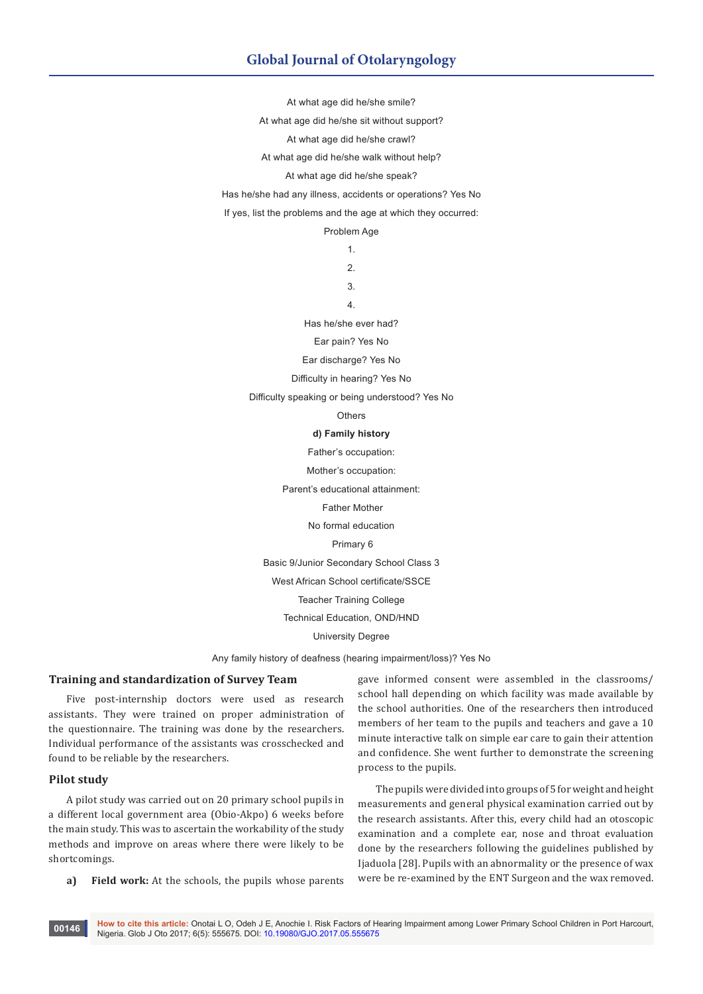# **Global Journal of Otolaryngology**

At what age did he/she smile?

At what age did he/she sit without support?

At what age did he/she crawl?

At what age did he/she walk without help?

At what age did he/she speak?

Has he/she had any illness, accidents or operations? Yes No

If yes, list the problems and the age at which they occurred:

Problem Age

1. 2.

3.

4.

Has he/she ever had?

Ear pain? Yes No

Ear discharge? Yes No

Difficulty in hearing? Yes No

Difficulty speaking or being understood? Yes No

**Others** 

## **d) Family history**

Father's occupation:

Mother's occupation:

Parent's educational attainment:

Father Mother

No formal education

Primary 6

Basic 9/Junior Secondary School Class 3

West African School certificate/SSCE

Teacher Training College

Technical Education, OND/HND

University Degree

Any family history of deafness (hearing impairment/loss)? Yes No

## **Training and standardization of Survey Team**

Five post-internship doctors were used as research assistants. They were trained on proper administration of the questionnaire. The training was done by the researchers. Individual performance of the assistants was crosschecked and found to be reliable by the researchers.

## **Pilot study**

A pilot study was carried out on 20 primary school pupils in a different local government area (Obio-Akpo) 6 weeks before the main study. This was to ascertain the workability of the study methods and improve on areas where there were likely to be shortcomings.

**a) Field work:** At the schools, the pupils whose parents

gave informed consent were assembled in the classrooms/ school hall depending on which facility was made available by the school authorities. One of the researchers then introduced members of her team to the pupils and teachers and gave a 10 minute interactive talk on simple ear care to gain their attention and confidence. She went further to demonstrate the screening process to the pupils.

The pupils were divided into groups of 5 for weight and height measurements and general physical examination carried out by the research assistants. After this, every child had an otoscopic examination and a complete ear, nose and throat evaluation done by the researchers following the guidelines published by Ijaduola [28]. Pupils with an abnormality or the presence of wax were be re-examined by the ENT Surgeon and the wax removed.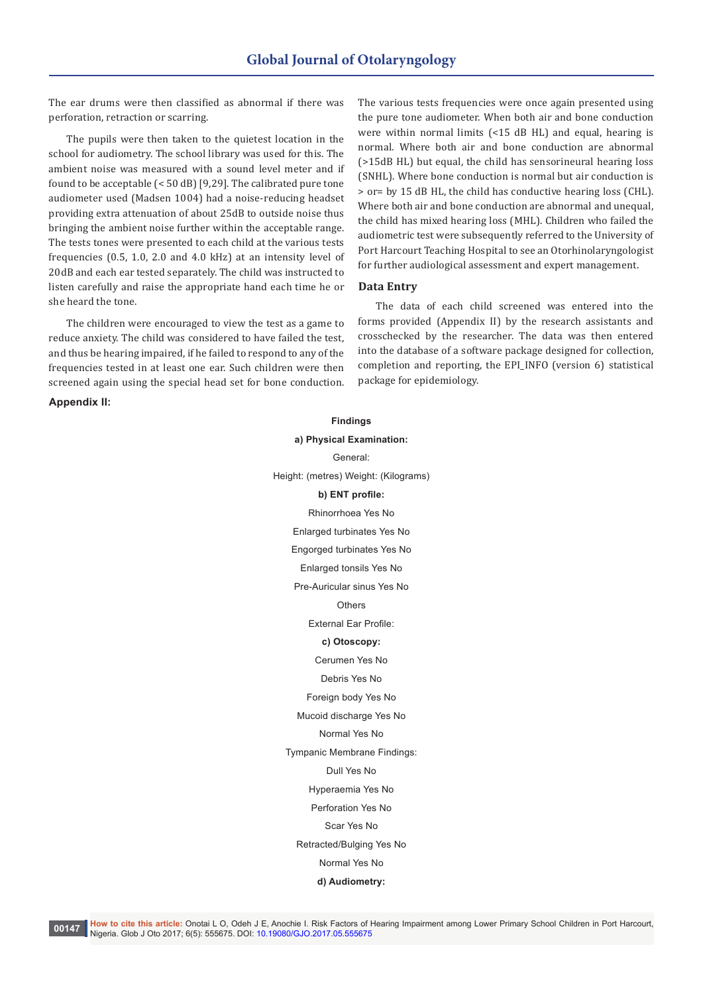The ear drums were then classified as abnormal if there was perforation, retraction or scarring.

The pupils were then taken to the quietest location in the school for audiometry. The school library was used for this. The ambient noise was measured with a sound level meter and if found to be acceptable (< 50 dB) [9,29]. The calibrated pure tone audiometer used (Madsen 1004) had a noise-reducing headset providing extra attenuation of about 25dB to outside noise thus bringing the ambient noise further within the acceptable range. The tests tones were presented to each child at the various tests frequencies (0.5, 1.0, 2.0 and 4.0 kHz) at an intensity level of 20dB and each ear tested separately. The child was instructed to listen carefully and raise the appropriate hand each time he or she heard the tone.

The children were encouraged to view the test as a game to reduce anxiety. The child was considered to have failed the test, and thus be hearing impaired, if he failed to respond to any of the frequencies tested in at least one ear. Such children were then screened again using the special head set for bone conduction.

**Appendix II:**

The various tests frequencies were once again presented using the pure tone audiometer. When both air and bone conduction were within normal limits (<15 dB HL) and equal, hearing is normal. Where both air and bone conduction are abnormal (>15dB HL) but equal, the child has sensorineural hearing loss (SNHL). Where bone conduction is normal but air conduction is > or= by 15 dB HL, the child has conductive hearing loss (CHL). Where both air and bone conduction are abnormal and unequal, the child has mixed hearing loss (MHL). Children who failed the audiometric test were subsequently referred to the University of Port Harcourt Teaching Hospital to see an Otorhinolaryngologist for further audiological assessment and expert management.

#### **Data Entry**

The data of each child screened was entered into the forms provided (Appendix II) by the research assistants and crosschecked by the researcher. The data was then entered into the database of a software package designed for collection, completion and reporting, the EPI\_INFO (version 6) statistical package for epidemiology.

**Findings a) Physical Examination:** General: Height: (metres) Weight: (Kilograms) **b) ENT profile:** Rhinorrhoea Yes No Enlarged turbinates Yes No Engorged turbinates Yes No Enlarged tonsils Yes No Pre-Auricular sinus Yes No Othere External Ear Profile: **c) Otoscopy:** Cerumen Yes No Debris Yes No Foreign body Yes No Mucoid discharge Yes No Normal Yes No Tympanic Membrane Findings: Dull Yes No Hyperaemia Yes No Perforation Yes No Scar Yes No Retracted/Bulging Yes No Normal Yes No

#### **d) Audiometry:**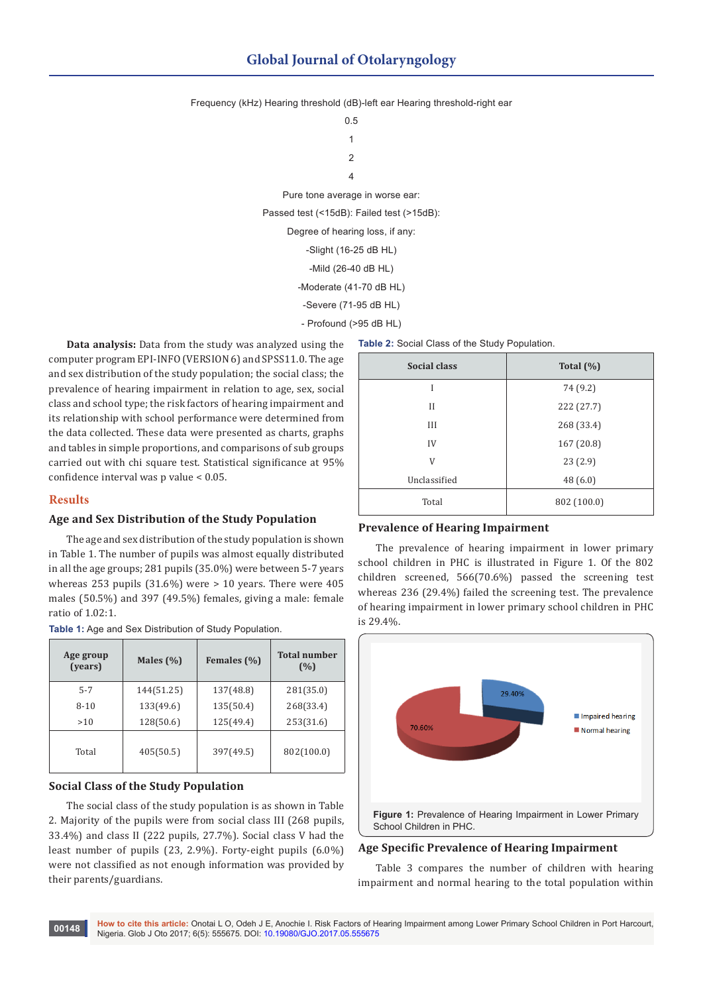Frequency (kHz) Hearing threshold (dB)-left ear Hearing threshold-right ear

0.5 1  $\mathfrak{p}$ 4 Pure tone average in worse ear: Passed test (<15dB): Failed test (>15dB): Degree of hearing loss, if any: -Slight (16-25 dB HL) -Mild (26-40 dB HL) -Moderate (41-70 dB HL) -Severe (71-95 dB HL) - Profound (>95 dB HL)

**Data analysis:** Data from the study was analyzed using the computer program EPI-INFO (VERSION 6) and SPSS11.0. The age and sex distribution of the study population; the social class; the prevalence of hearing impairment in relation to age, sex, social class and school type; the risk factors of hearing impairment and its relationship with school performance were determined from the data collected. These data were presented as charts, graphs and tables in simple proportions, and comparisons of sub groups carried out with chi square test. Statistical significance at 95% confidence interval was p value < 0.05.

#### **Results**

#### **Age and Sex Distribution of the Study Population**

The age and sex distribution of the study population is shown in Table 1. The number of pupils was almost equally distributed in all the age groups; 281 pupils (35.0%) were between 5-7 years whereas 253 pupils  $(31.6\%)$  were  $> 10$  years. There were 405 males (50.5%) and 397 (49.5%) females, giving a male: female ratio of 1.02:1.

**Table 1:** Age and Sex Distribution of Study Population.

| Age group<br>(years) | Males $(\% )$ | Females (%) | <b>Total number</b><br>(%) |  |
|----------------------|---------------|-------------|----------------------------|--|
| $5 - 7$              | 144(51.25)    | 137(48.8)   | 281(35.0)                  |  |
| $8 - 10$             | 133(49.6)     | 135(50.4)   | 268(33.4)                  |  |
| >10                  | 128(50.6)     | 125(49.4)   | 253(31.6)                  |  |
| Total                | 405(50.5)     | 397(49.5)   | 802(100.0)                 |  |

## **Social Class of the Study Population**

The social class of the study population is as shown in Table 2. Majority of the pupils were from social class III (268 pupils, 33.4%) and class II (222 pupils, 27.7%). Social class V had the least number of pupils (23, 2.9%). Forty-eight pupils (6.0%) were not classified as not enough information was provided by their parents/guardians.

| Table 2: Social Class of the Study Population. |               |  |  |
|------------------------------------------------|---------------|--|--|
| <b>Social class</b>                            | Total $(\% )$ |  |  |
| I                                              | 74 (9.2)      |  |  |
| П                                              | 222 (27.7)    |  |  |
| III                                            | 268 (33.4)    |  |  |
| IV                                             | 167 (20.8)    |  |  |
| V                                              | 23(2.9)       |  |  |
| Unclassified                                   | 48(6.0)       |  |  |
| Total                                          | 802 (100.0)   |  |  |

#### **Prevalence of Hearing Impairment**

The prevalence of hearing impairment in lower primary school children in PHC is illustrated in Figure 1. Of the 802 children screened, 566(70.6%) passed the screening test whereas 236 (29.4%) failed the screening test. The prevalence of hearing impairment in lower primary school children in PHC is 29.4%.



#### **Age Specific Prevalence of Hearing Impairment**

Table 3 compares the number of children with hearing impairment and normal hearing to the total population within

**How to cite this article:** Onotai L O, Odeh J E, Anochie I. Risk Factors of Hearing Impairment among Lower Primary School Children in Port Harcourt, **00148** Nigeria. Glob J Oto 2017; 6(5): 555675. DOI: [10.19080/GJO.2017.05.555675](http://dx.doi.org/10.19080/GJO.2017.05.555675
)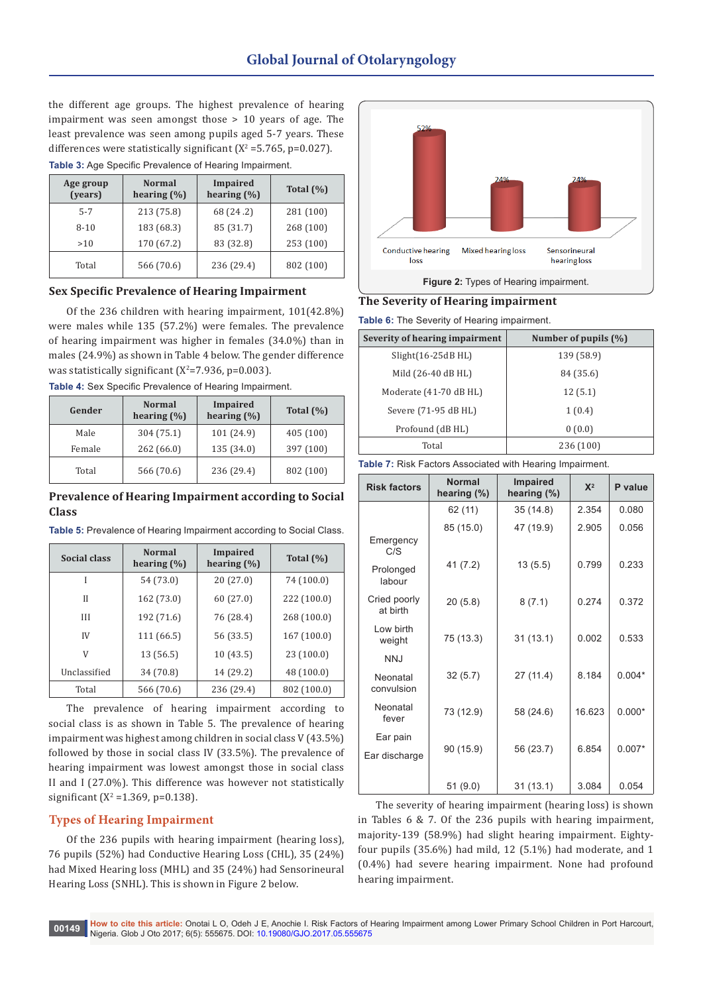the different age groups. The highest prevalence of hearing impairment was seen amongst those > 10 years of age. The least prevalence was seen among pupils aged 5-7 years. These differences were statistically significant ( $X^2 = 5.765$ , p= $0.027$ ). **Table 3: Age Specific Prevalence of Hearing Impairment.** 

| <u>. www.ext.com/organizations.com/organizations.com/organizations.com</u> |                                  |                             |               |  |
|----------------------------------------------------------------------------|----------------------------------|-----------------------------|---------------|--|
| Age group<br>(years)                                                       | <b>Normal</b><br>hearing $(\% )$ | Impaired<br>hearing $(\% )$ | Total $(\% )$ |  |
| $5 - 7$                                                                    | 213 (75.8)                       | 68 (24.2)                   | 281 (100)     |  |
| $8 - 10$                                                                   | 183 (68.3)                       | 85 (31.7)                   | 268 (100)     |  |
| >10                                                                        | 170 (67.2)                       | 83 (32.8)                   | 253 (100)     |  |
| Total                                                                      | 566 (70.6)                       | 236 (29.4)                  | 802 (100)     |  |

## **Sex Specific Prevalence of Hearing Impairment**

Of the 236 children with hearing impairment, 101(42.8%) were males while 135 (57.2%) were females. The prevalence of hearing impairment was higher in females (34.0%) than in males (24.9%) as shown in Table 4 below. The gender difference was statistically significant ( $X^2$ =7.936, p=0.003).

**Table 4:** Sex Specific Prevalence of Hearing Impairment.

| Gender | <b>Normal</b><br>hearing $(\% )$ | Impaired<br>hearing $(\% )$ | Total $(\% )$ |  |
|--------|----------------------------------|-----------------------------|---------------|--|
| Male   | 304 (75.1)                       | 101 (24.9)                  | 405 (100)     |  |
| Female | 262 (66.0)                       | 135 (34.0)                  | 397 (100)     |  |
| Total  | 566 (70.6)                       | 236 (29.4)                  | 802 (100)     |  |

## **Prevalence of Hearing Impairment according to Social Class**

**Table 5:** Prevalence of Hearing Impairment according to Social Class.

| <b>Social class</b> | <b>Normal</b><br>hearing $(\%)$ | Impaired<br>hearing $(\% )$ | Total $(\%)$ |  |
|---------------------|---------------------------------|-----------------------------|--------------|--|
|                     | 54 (73.0)                       | 20(27.0)                    | 74 (100.0)   |  |
| Н                   | 162 (73.0)                      | 60(27.0)                    | 222 (100.0)  |  |
| III                 | 192 (71.6)                      | 76 (28.4)                   | 268 (100.0)  |  |
| IV                  | 111 (66.5)                      | 56 (33.5)                   | 167(100.0)   |  |
| V                   | 13 (56.5)                       | 10(43.5)                    | 23(100.0)    |  |
| Unclassified        | 34 (70.8)                       | 14 (29.2)                   | 48 (100.0)   |  |
| Total               | 566 (70.6)                      | 236 (29.4)                  | 802 (100.0)  |  |

The prevalence of hearing impairment according to social class is as shown in Table 5. The prevalence of hearing impairment was highest among children in social class V (43.5%) followed by those in social class IV (33.5%). The prevalence of hearing impairment was lowest amongst those in social class II and I (27.0%). This difference was however not statistically significant ( $X^2 = 1.369$ , p=0.138).

# **Types of Hearing Impairment**

Of the 236 pupils with hearing impairment (hearing loss), 76 pupils (52%) had Conductive Hearing Loss (CHL), 35 (24%) had Mixed Hearing loss (MHL) and 35 (24%) had Sensorineural Hearing Loss (SNHL). This is shown in Figure 2 below.



# **The Severity of Hearing impairment**

**Table 6:** The Severity of Hearing impairment.

| Severity of hearing impairment | Number of pupils $(\% )$ |  |
|--------------------------------|--------------------------|--|
| $Slight(16-25dB HL)$           | 139 (58.9)               |  |
| Mild (26-40 dB HL)             | 84 (35.6)                |  |
| Moderate (41-70 dB HL)         | 12(5.1)                  |  |
| Severe (71-95 dB HL)           | 1(0.4)                   |  |
| Profound (dB HL)               | 0(0.0)                   |  |
| Total                          | 236 (100)                |  |

**Table 7:** Risk Factors Associated with Hearing Impairment.

| <b>Risk factors</b>      | <b>Normal</b><br>hearing $(\%)$ | <b>Impaired</b><br>hearing $(\%)$ | $X^2$  | P value  |
|--------------------------|---------------------------------|-----------------------------------|--------|----------|
|                          | 62 (11)                         | 35(14.8)                          | 2.354  | 0.080    |
| Emergency<br>C/S         | 85 (15.0)                       | 47 (19.9)                         | 2.905  | 0.056    |
| Prolonged<br>labour      | 41 (7.2)                        | 13(5.5)                           | 0.799  | 0.233    |
| Cried poorly<br>at birth | 20(5.8)                         | 8(7.1)                            | 0.274  | 0.372    |
| Low birth<br>weight      | 75 (13.3)                       | 31(13.1)                          | 0.002  | 0.533    |
| <b>NNJ</b>               |                                 |                                   |        |          |
| Neonatal<br>convulsion   | 32(5.7)                         | 27(11.4)                          | 8.184  | $0.004*$ |
| Neonatal<br>fever        | 73 (12.9)                       | 58 (24.6)                         | 16.623 | $0.000*$ |
| Ear pain                 |                                 |                                   |        |          |
| Ear discharge            | 90 (15.9)                       | 56 (23.7)                         | 6.854  | $0.007*$ |
|                          | 51(9.0)                         | 31(13.1)                          | 3.084  | 0.054    |

The severity of hearing impairment (hearing loss) is shown in Tables 6 & 7. Of the 236 pupils with hearing impairment, majority-139 (58.9%) had slight hearing impairment. Eightyfour pupils (35.6%) had mild, 12 (5.1%) had moderate, and 1 (0.4%) had severe hearing impairment. None had profound hearing impairment.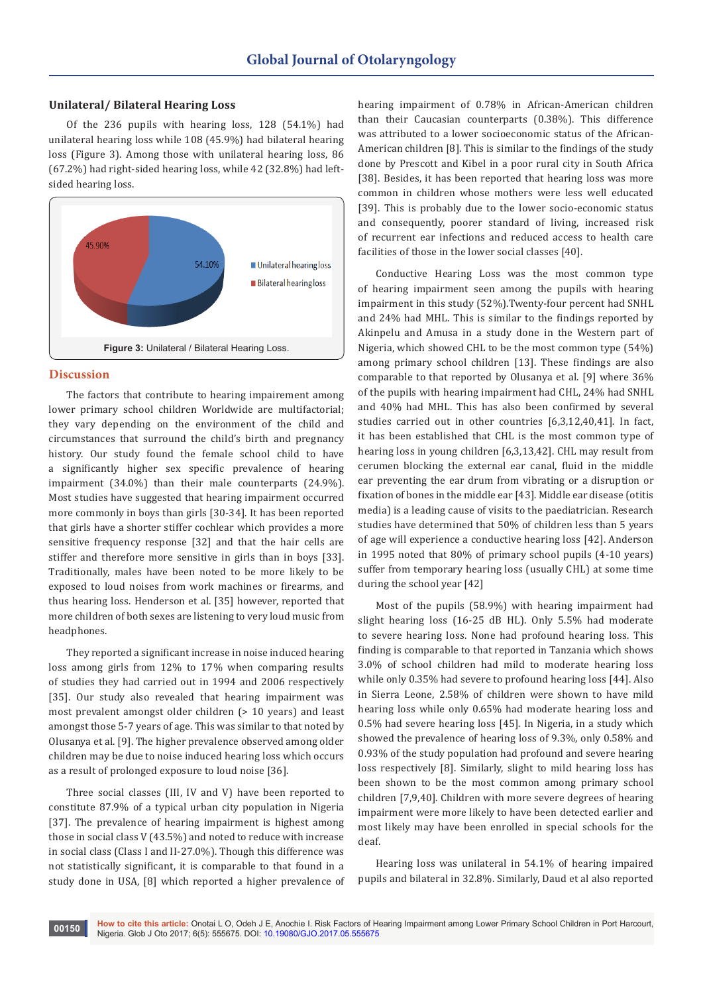#### **Unilateral/ Bilateral Hearing Loss**

Of the 236 pupils with hearing loss, 128 (54.1%) had unilateral hearing loss while 108 (45.9%) had bilateral hearing loss (Figure 3). Among those with unilateral hearing loss, 86 (67.2%) had right-sided hearing loss, while 42 (32.8%) had leftsided hearing loss.



#### **Discussion**

The factors that contribute to hearing impairement among lower primary school children Worldwide are multifactorial; they vary depending on the environment of the child and circumstances that surround the child's birth and pregnancy history. Our study found the female school child to have a significantly higher sex specific prevalence of hearing impairment (34.0%) than their male counterparts (24.9%). Most studies have suggested that hearing impairment occurred more commonly in boys than girls [30-34]. It has been reported that girls have a shorter stiffer cochlear which provides a more sensitive frequency response [32] and that the hair cells are stiffer and therefore more sensitive in girls than in boys [33]. Traditionally, males have been noted to be more likely to be exposed to loud noises from work machines or firearms, and thus hearing loss. Henderson et al. [35] however, reported that more children of both sexes are listening to very loud music from headphones.

They reported a significant increase in noise induced hearing loss among girls from 12% to 17% when comparing results of studies they had carried out in 1994 and 2006 respectively [35]. Our study also revealed that hearing impairment was most prevalent amongst older children (> 10 years) and least amongst those 5-7 years of age. This was similar to that noted by Olusanya et al. [9]. The higher prevalence observed among older children may be due to noise induced hearing loss which occurs as a result of prolonged exposure to loud noise [36].

Three social classes (III, IV and V) have been reported to constitute 87.9% of a typical urban city population in Nigeria [37]. The prevalence of hearing impairment is highest among those in social class V (43.5%) and noted to reduce with increase in social class (Class I and II-27.0%). Though this difference was not statistically significant, it is comparable to that found in a study done in USA, [8] which reported a higher prevalence of hearing impairment of 0.78% in African-American children than their Caucasian counterparts (0.38%). This difference was attributed to a lower socioeconomic status of the African-American children [8]. This is similar to the findings of the study done by Prescott and Kibel in a poor rural city in South Africa [38]. Besides, it has been reported that hearing loss was more common in children whose mothers were less well educated [39]. This is probably due to the lower socio-economic status and consequently, poorer standard of living, increased risk of recurrent ear infections and reduced access to health care facilities of those in the lower social classes [40].

Conductive Hearing Loss was the most common type of hearing impairment seen among the pupils with hearing impairment in this study (52%).Twenty-four percent had SNHL and 24% had MHL. This is similar to the findings reported by Akinpelu and Amusa in a study done in the Western part of Nigeria, which showed CHL to be the most common type (54%) among primary school children [13]. These findings are also comparable to that reported by Olusanya et al. [9] where 36% of the pupils with hearing impairment had CHL, 24% had SNHL and 40% had MHL. This has also been confirmed by several studies carried out in other countries [6,3,12,40,41]. In fact, it has been established that CHL is the most common type of hearing loss in young children [6,3,13,42]. CHL may result from cerumen blocking the external ear canal, fluid in the middle ear preventing the ear drum from vibrating or a disruption or fixation of bones in the middle ear [43]. Middle ear disease (otitis media) is a leading cause of visits to the paediatrician. Research studies have determined that 50% of children less than 5 years of age will experience a conductive hearing loss [42]. Anderson in 1995 noted that 80% of primary school pupils (4-10 years) suffer from temporary hearing loss (usually CHL) at some time during the school year [42]

Most of the pupils (58.9%) with hearing impairment had slight hearing loss (16-25 dB HL). Only 5.5% had moderate to severe hearing loss. None had profound hearing loss. This finding is comparable to that reported in Tanzania which shows 3.0% of school children had mild to moderate hearing loss while only 0.35% had severe to profound hearing loss [44]. Also in Sierra Leone, 2.58% of children were shown to have mild hearing loss while only 0.65% had moderate hearing loss and 0.5% had severe hearing loss [45]. In Nigeria, in a study which showed the prevalence of hearing loss of 9.3%, only 0.58% and 0.93% of the study population had profound and severe hearing loss respectively [8]. Similarly, slight to mild hearing loss has been shown to be the most common among primary school children [7,9,40]. Children with more severe degrees of hearing impairment were more likely to have been detected earlier and most likely may have been enrolled in special schools for the deaf.

Hearing loss was unilateral in 54.1% of hearing impaired pupils and bilateral in 32.8%. Similarly, Daud et al also reported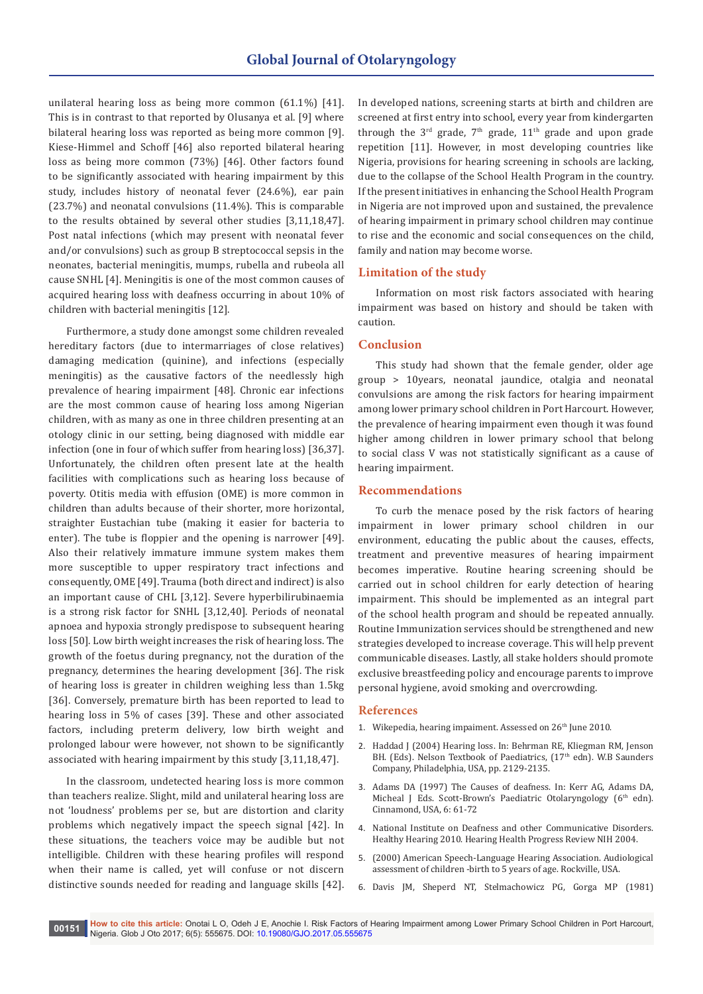unilateral hearing loss as being more common (61.1%) [41]. This is in contrast to that reported by Olusanya et al. [9] where bilateral hearing loss was reported as being more common [9]. Kiese-Himmel and Schoff [46] also reported bilateral hearing loss as being more common (73%) [46]. Other factors found to be significantly associated with hearing impairment by this study, includes history of neonatal fever (24.6%), ear pain (23.7%) and neonatal convulsions (11.4%). This is comparable to the results obtained by several other studies [3,11,18,47]. Post natal infections (which may present with neonatal fever and/or convulsions) such as group B streptococcal sepsis in the neonates, bacterial meningitis, mumps, rubella and rubeola all cause SNHL [4]. Meningitis is one of the most common causes of acquired hearing loss with deafness occurring in about 10% of children with bacterial meningitis [12].

Furthermore, a study done amongst some children revealed hereditary factors (due to intermarriages of close relatives) damaging medication (quinine), and infections (especially meningitis) as the causative factors of the needlessly high prevalence of hearing impairment [48]. Chronic ear infections are the most common cause of hearing loss among Nigerian children, with as many as one in three children presenting at an otology clinic in our setting, being diagnosed with middle ear infection (one in four of which suffer from hearing loss) [36,37]. Unfortunately, the children often present late at the health facilities with complications such as hearing loss because of poverty. Otitis media with effusion (OME) is more common in children than adults because of their shorter, more horizontal, straighter Eustachian tube (making it easier for bacteria to enter). The tube is floppier and the opening is narrower [49]. Also their relatively immature immune system makes them more susceptible to upper respiratory tract infections and consequently, OME [49]. Trauma (both direct and indirect) is also an important cause of CHL [3,12]. Severe hyperbilirubinaemia is a strong risk factor for SNHL [3,12,40]. Periods of neonatal apnoea and hypoxia strongly predispose to subsequent hearing loss [50]. Low birth weight increases the risk of hearing loss. The growth of the foetus during pregnancy, not the duration of the pregnancy, determines the hearing development [36]. The risk of hearing loss is greater in children weighing less than 1.5kg [36]. Conversely, premature birth has been reported to lead to hearing loss in 5% of cases [39]. These and other associated factors, including preterm delivery, low birth weight and prolonged labour were however, not shown to be significantly associated with hearing impairment by this study [3,11,18,47].

In the classroom, undetected hearing loss is more common than teachers realize. Slight, mild and unilateral hearing loss are not 'loudness' problems per se, but are distortion and clarity problems which negatively impact the speech signal [42]. In these situations, the teachers voice may be audible but not intelligible. Children with these hearing profiles will respond when their name is called, yet will confuse or not discern distinctive sounds needed for reading and language skills [42]. In developed nations, screening starts at birth and children are screened at first entry into school, every year from kindergarten through the  $3<sup>rd</sup>$  grade,  $7<sup>th</sup>$  grade,  $11<sup>th</sup>$  grade and upon grade repetition [11]. However, in most developing countries like Nigeria, provisions for hearing screening in schools are lacking, due to the collapse of the School Health Program in the country. If the present initiatives in enhancing the School Health Program in Nigeria are not improved upon and sustained, the prevalence of hearing impairment in primary school children may continue to rise and the economic and social consequences on the child, family and nation may become worse.

## **Limitation of the study**

Information on most risk factors associated with hearing impairment was based on history and should be taken with caution.

#### **Conclusion**

This study had shown that the female gender, older age group > 10years, neonatal jaundice, otalgia and neonatal convulsions are among the risk factors for hearing impairment among lower primary school children in Port Harcourt. However, the prevalence of hearing impairment even though it was found higher among children in lower primary school that belong to social class V was not statistically significant as a cause of hearing impairment.

#### **Recommendations**

To curb the menace posed by the risk factors of hearing impairment in lower primary school children in our environment, educating the public about the causes, effects, treatment and preventive measures of hearing impairment becomes imperative. Routine hearing screening should be carried out in school children for early detection of hearing impairment. This should be implemented as an integral part of the school health program and should be repeated annually. Routine Immunization services should be strengthened and new strategies developed to increase coverage. This will help prevent communicable diseases. Lastly, all stake holders should promote exclusive breastfeeding policy and encourage parents to improve personal hygiene, avoid smoking and overcrowding.

#### **References**

- 1. Wikepedia, hearing impaiment. Assessed on 26<sup>th</sup> June 2010.
- 2. Haddad J (2004) Hearing loss. In: Behrman RE, Kliegman RM, Jenson BH. (Eds). Nelson Textbook of Paediatrics, (17<sup>th</sup> edn). W.B Saunders Company, Philadelphia, USA, pp. 2129-2135.
- 3. Adams DA (1997) The Causes of deafness. In: Kerr AG, Adams DA, Micheal J Eds. Scott-Brown's Paediatric Otolaryngology (6<sup>th</sup> edn). Cinnamond, USA, 6: 61-72
- 4. [National Institute on Deafness and other Communicative Disorders.](http://www.nidcd.nih.gov/health/healthyhearing/)  [Healthy Hearing 2010. Hearing Health Progress Review NIH 2004.](http://www.nidcd.nih.gov/health/healthyhearing/)
- 5. [\(2000\) American Speech-Language Hearing Association. Audiological](http://www.asha.org/)  [assessment of children -birth to 5 years of age. Rockville, USA.](http://www.asha.org/)
- 6. [Davis JM, Sheperd NT, Stelmachowicz PG, Gorga MP \(1981\)](https://www.ncbi.nlm.nih.gov/pubmed/7253589)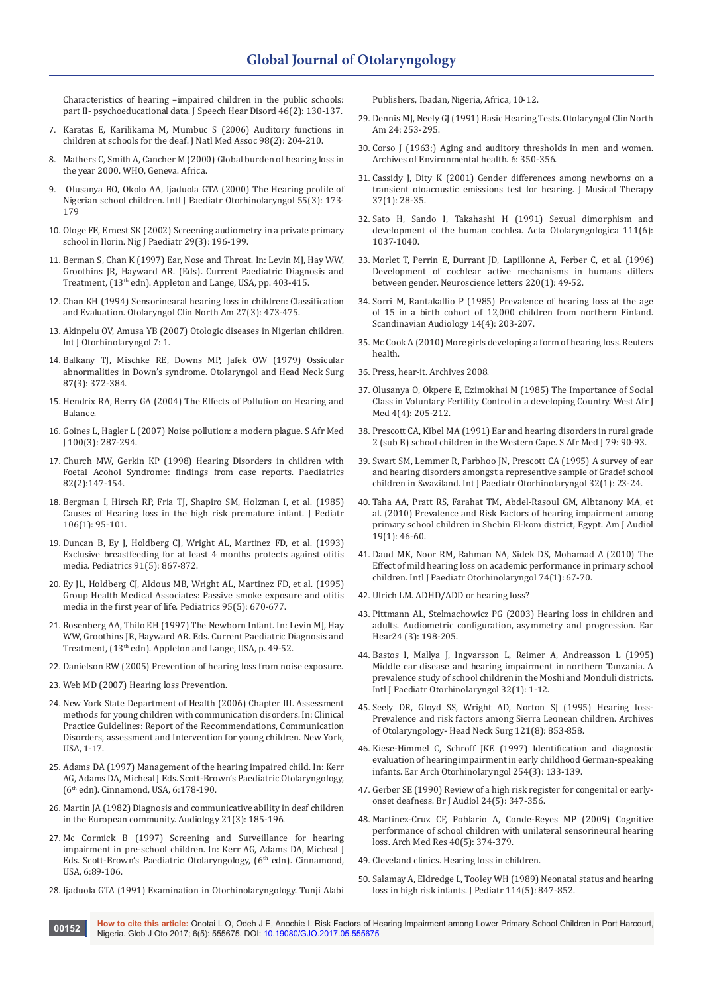[Characteristics of hearing –impaired children in the public schools:](https://www.ncbi.nlm.nih.gov/pubmed/7253589)  [part II- psychoeducational data. J Speech Hear Disord 46\(2\): 130-137.](https://www.ncbi.nlm.nih.gov/pubmed/7253589)

- 7. [Karatas E, Karilikama M, Mumbuc S \(2006\) Auditory functions in](https://www.ncbi.nlm.nih.gov/pubmed/16708506)  [children at schools for the deaf. J Natl Med Assoc 98\(2\): 204-210.](https://www.ncbi.nlm.nih.gov/pubmed/16708506)
- 8. [Mathers C, Smith A, Cancher M \(2000\) Global burden of hearing loss in](http://www.who.int/healthinfo/statistics/bod_hearingloss.pdf)  [the year 2000. WHO, Geneva. Africa.](http://www.who.int/healthinfo/statistics/bod_hearingloss.pdf)
- 9. [Olusanya BO, Okolo AA, Ijaduola GTA \(2000\) The Hearing profile of](https://www.ncbi.nlm.nih.gov/pubmed/11035173)  [Nigerian school children. Intl J Paediatr Otorhinolaryngol 55\(3\): 173-](https://www.ncbi.nlm.nih.gov/pubmed/11035173) [179](https://www.ncbi.nlm.nih.gov/pubmed/11035173)
- 10. [Ologe FE, Ernest SK \(2002\) Screening audiometry in a private primary](https://www.ncbi.nlm.nih.gov/pubmed/15186554)  [school in Ilorin. Nig J Paediatr 29\(3\): 196-199.](https://www.ncbi.nlm.nih.gov/pubmed/15186554)
- 11. Berman S, Chan K (1997) Ear, Nose and Throat. In: Levin MJ, Hay WW, Groothins JR, Hayward AR. (Eds). Current Paediatric Diagnosis and Treatment, (13<sup>th</sup> edn). Appleton and Lange, USA, pp. 403-415.
- 12. [Chan KH \(1994\) Sensorinearal hearing loss in children: Classification](https://www.ncbi.nlm.nih.gov/pubmed/8065754)  [and Evaluation. Otolaryngol Clin North Am 27\(3\): 473-475.](https://www.ncbi.nlm.nih.gov/pubmed/8065754)
- 13. [Akinpelu OV, Amusa YB \(2007\) Otologic diseases in Nigerian children.](https://ispub.com/IJORL/7/1/4701)  [Int J Otorhinolaryngol 7: 1.](https://ispub.com/IJORL/7/1/4701)
- 14. [Balkany TJ, Mischke RE, Downs MP, Jafek OW \(1979\) Ossicular](https://www.ncbi.nlm.nih.gov/pubmed/158733)  [abnormalities in Down's syndrome. Otolaryngol and Head Neck Surg](https://www.ncbi.nlm.nih.gov/pubmed/158733)  [87\(3\): 372-384.](https://www.ncbi.nlm.nih.gov/pubmed/158733)
- 15. Hendrix RA, Berry GA (2004) The Effects of Pollution on Hearing and Balance.
- 16. [Goines L, Hagler L \(2007\) Noise pollution: a modern plague. S Afr Med](http://www.nonoise.org/library/smj/smj.htm)  [J 100\(3\): 287-294.](http://www.nonoise.org/library/smj/smj.htm)
- 17. [Church MW, Gerkin KP \(1998\) Hearing Disorders in children with](https://www.ncbi.nlm.nih.gov/pubmed/3399287)  [Foetal Acohol Syndrome: findings from case reports. Paediatrics](https://www.ncbi.nlm.nih.gov/pubmed/3399287)  [82\(2\):147-154.](https://www.ncbi.nlm.nih.gov/pubmed/3399287)
- 18. [Bergman I, Hirsch RP, Fria TJ, Shapiro SM, Holzman I, et al. \(1985\)](https://www.ncbi.nlm.nih.gov/pubmed/3965686)  [Causes of Hearing loss in the high risk premature infant. J Pediatr](https://www.ncbi.nlm.nih.gov/pubmed/3965686)  [106\(1\): 95-101.](https://www.ncbi.nlm.nih.gov/pubmed/3965686)
- 19. [Duncan B, Ey J, Holdberg CJ, Wright AL, Martinez FD, et al. \(1993\)](https://www.ncbi.nlm.nih.gov/pubmed/8474804)  [Exclusive breastfeeding for at least 4 months protects against otitis](https://www.ncbi.nlm.nih.gov/pubmed/8474804)  [media. Pediatrics 91\(5\): 867-872.](https://www.ncbi.nlm.nih.gov/pubmed/8474804)
- 20. [Ey JL, Holdberg CJ, Aldous MB, Wright AL, Martinez FD, et al. \(1995\)](https://www.ncbi.nlm.nih.gov/pubmed/7724301)  [Group Health Medical Associates: Passive smoke exposure and otitis](https://www.ncbi.nlm.nih.gov/pubmed/7724301)  [media in the first year of life. Pediatrics 95\(5\): 670-677.](https://www.ncbi.nlm.nih.gov/pubmed/7724301)
- 21. Rosenberg AA, Thilo EH (1997) The Newborn Infant. In: Levin MJ, Hay WW, Groothins JR, Hayward AR. Eds. Current Paediatric Diagnosis and Treatment, (13<sup>th</sup> edn). Appleton and Lange, USA, p. 49-52.
- 22. [Danielson RW \(2005\) Prevention of hearing loss from noise exposure.](http://www.betterhearing.org/hearing-loss-prevention/indexDetail.cfm)
- 23. [Web MD \(2007\) Hearing loss Prevention.](http://www.webmd.com/a-to-z-guides/hearing-loss-prevention)
- 24. [New York State Department of Health \(2006\) Chapter III. Assessment](http://www.health.state.ny.us/community/infants_children/early_intervention/disorders/ch3_pt5.htm)  [methods for young children with communication disorders. In: Clinical](http://www.health.state.ny.us/community/infants_children/early_intervention/disorders/ch3_pt5.htm)  [Practice Guidelines: Report of the Recommendations, Communication](http://www.health.state.ny.us/community/infants_children/early_intervention/disorders/ch3_pt5.htm)  [Disorders, assessment and Intervention for young children. New York,](http://www.health.state.ny.us/community/infants_children/early_intervention/disorders/ch3_pt5.htm)  [USA, 1-17.](http://www.health.state.ny.us/community/infants_children/early_intervention/disorders/ch3_pt5.htm)
- 25. Adams DA (1997) Management of the hearing impaired child. In: Kerr AG, Adams DA, Micheal J Eds. Scott-Brown's Paediatric Otolaryngology, (6th edn). Cinnamond, USA, 6:178-190.
- 26. [Martin JA \(1982\) Diagnosis and communicative ability in deaf children](https://www.ncbi.nlm.nih.gov/pubmed/7092723)  [in the European community. Audiology 21\(3\): 185-196.](https://www.ncbi.nlm.nih.gov/pubmed/7092723)
- 27. Mc Cormick B (1997) Screening and Surveillance for hearing impairment in pre-school children. In: Kerr AG, Adams DA, Micheal J Eds. Scott-Brown's Paediatric Otolaryngology, (6<sup>th</sup> edn). Cinnamond, USA, 6:89-106.
- 28. Ijaduola GTA (1991) Examination in Otorhinolaryngology. Tunji Alabi

Publishers, Ibadan, Nigeria, Africa, 10-12.

- 29. Dennis MJ, Neely GJ (1991) Basic Hearing Tests. Otolaryngol Clin North Am 24: 253-295.
- 30. [Corso J \(1963;\) Aging and auditory thresholds in men and women.](https://www.ncbi.nlm.nih.gov/pubmed/14023184)  [Archives of Environmental health. 6: 350-356.](https://www.ncbi.nlm.nih.gov/pubmed/14023184)
- 31. [Cassidy J, Dity K \(2001\) Gender differences among newborns on a](https://www.ncbi.nlm.nih.gov/pubmed/11407963)  [transient otoacoustic emissions test for hearing. J Musical Therapy](https://www.ncbi.nlm.nih.gov/pubmed/11407963)  [37\(1\): 28-35.](https://www.ncbi.nlm.nih.gov/pubmed/11407963)
- 32. [Sato H, Sando I, Takahashi H \(1991\) Sexual dimorphism and](https://www.ncbi.nlm.nih.gov/pubmed/1763623)  [development of the human cochlea. Acta Otolaryngologica 111\(6\):](https://www.ncbi.nlm.nih.gov/pubmed/1763623)  [1037-1040.](https://www.ncbi.nlm.nih.gov/pubmed/1763623)
- 33. [Morlet T, Perrin E, Durrant JD, Lapillonne A, Ferber C, et al. \(1996\)](https://www.ncbi.nlm.nih.gov/pubmed/8977146)  [Development of cochlear active mechanisms in humans differs](https://www.ncbi.nlm.nih.gov/pubmed/8977146)  [between gender. Neuroscience letters 220\(1\): 49-52.](https://www.ncbi.nlm.nih.gov/pubmed/8977146)
- 34. [Sorri M, Rantakallio P \(1985\) Prevalence of hearing loss at the age](http://www.tandfonline.com/doi/abs/10.3109/01050398509045942?journalCode=iaud20)  [of 15 in a birth cohort of 12,000 children from northern Finland.](http://www.tandfonline.com/doi/abs/10.3109/01050398509045942?journalCode=iaud20)  [Scandinavian Audiology 14\(4\): 203-207.](http://www.tandfonline.com/doi/abs/10.3109/01050398509045942?journalCode=iaud20)
- 35. [Mc Cook A \(2010\) More girls developing a form of hearing loss. Reuters](file:///D:/JOURNALS/GJO/GJO.MS.ID.555676/GJO-RA-17-679_W/http/www.reuters.com/article/2010/12/27us-hearing-loss)  [health.](file:///D:/JOURNALS/GJO/GJO.MS.ID.555676/GJO-RA-17-679_W/http/www.reuters.com/article/2010/12/27us-hearing-loss)
- 36. [Press, hear-it. Archives 2008.](http://www.press.hear-it.org/list.dsp?area=12SQ)
- 37. [Olusanya O, Okpere E, Ezimokhai M \(1985\) The Importance of Social](https://www.scienceopen.com/document?vid=af0c3c60-eb81-46bc-a23d-60d9552d2224)  [Class in Voluntary Fertility Control in a developing Country. West Afr J](https://www.scienceopen.com/document?vid=af0c3c60-eb81-46bc-a23d-60d9552d2224)  [Med 4\(4\): 205-212.](https://www.scienceopen.com/document?vid=af0c3c60-eb81-46bc-a23d-60d9552d2224)
- 38. [Prescott CA, Kibel MA \(1991\) Ear and hearing disorders in rural grade](http://europepmc.org/abstract/med/1989096)  [2 \(sub B\) school children in the Western Cape. S Afr Med J 79: 90-93.](http://europepmc.org/abstract/med/1989096)
- 39. [Swart SM, Lemmer R, Parbhoo JN, Prescott CA \(1995\) A survey of ear](https://www.ncbi.nlm.nih.gov/pubmed/7607818)  [and hearing disorders amongst a representive sample of Grade! school](https://www.ncbi.nlm.nih.gov/pubmed/7607818)  [children in Swaziland. Int J Paediatr Otorhinolaryngol 32\(1\): 23-24.](https://www.ncbi.nlm.nih.gov/pubmed/7607818)
- 40. [Taha AA, Pratt RS, Farahat TM, Abdel-Rasoul GM, Albtanony MA, et](https://www.ncbi.nlm.nih.gov/pubmed/20538965)  [al. \(2010\) Prevalence and Risk Factors of hearing impairment among](https://www.ncbi.nlm.nih.gov/pubmed/20538965)  [primary school children in Shebin El-kom district, Egypt. Am J Audiol](https://www.ncbi.nlm.nih.gov/pubmed/20538965)  [19\(1\): 46-60.](https://www.ncbi.nlm.nih.gov/pubmed/20538965)
- 41. [Daud MK, Noor RM, Rahman NA, Sidek DS, Mohamad A \(2010\) The](https://www.ncbi.nlm.nih.gov/pubmed/19913305)  [Effect of mild hearing loss on academic performance in primary school](https://www.ncbi.nlm.nih.gov/pubmed/19913305)  [children. Intl J Paediatr Otorhinolaryngol 74\(1\): 67-70.](https://www.ncbi.nlm.nih.gov/pubmed/19913305)
- 42. Ulrich LM. ADHD/ADD or hearing loss?
- 43. [Pittmann AL, Stelmachowicz PG \(2003\) Hearing loss in children and](https://www.ncbi.nlm.nih.gov/pubmed/12799541)  [adults. Audiometric configuration, asymmetry and progression. Ear](https://www.ncbi.nlm.nih.gov/pubmed/12799541)  [Hear24 \(3\): 198-205.](https://www.ncbi.nlm.nih.gov/pubmed/12799541)
- 44. [Bastos I, Mallya J, Ingvarsson L, Reimer A, Andreasson L \(1995\)](https://www.ncbi.nlm.nih.gov/pubmed/7607816)  [Middle ear disease and hearing impairment in northern Tanzania. A](https://www.ncbi.nlm.nih.gov/pubmed/7607816)  [prevalence study of school children in the Moshi and Monduli districts.](https://www.ncbi.nlm.nih.gov/pubmed/7607816)  [Intl J Paediatr Otorhinolaryngol 32\(1\): 1-12.](https://www.ncbi.nlm.nih.gov/pubmed/7607816)
- 45. [Seely DR, Gloyd SS, Wright AD, Norton SJ \(1995\) Hearing loss-](https://www.ncbi.nlm.nih.gov/pubmed/7619409)[Prevalence and risk factors among Sierra Leonean children. Archives](https://www.ncbi.nlm.nih.gov/pubmed/7619409)  [of Otolaryngology- Head Neck Surg 121\(8\): 853-858.](https://www.ncbi.nlm.nih.gov/pubmed/7619409)
- 46. [Kiese-Himmel C, Schroff JKE \(1997\) Identification and diagnostic](https://www.ncbi.nlm.nih.gov/pubmed/9112033)  [evaluation of hearing impairment in early childhood German-speaking](https://www.ncbi.nlm.nih.gov/pubmed/9112033)  [infants. Ear Arch Otorhinolaryngol 254\(3\): 133-139.](https://www.ncbi.nlm.nih.gov/pubmed/9112033)
- 47. [Gerber SE \(1990\) Review of a high risk register for congenital or early](https://www.ncbi.nlm.nih.gov/pubmed/2265305)[onset deafness. Br J Audiol 24\(5\): 347-356.](https://www.ncbi.nlm.nih.gov/pubmed/2265305)
- 48. [Martinez-Cruz CF, Poblario A, Conde-Reyes MP \(2009\) Cognitive](https://www.ncbi.nlm.nih.gov/pubmed/19766901)  [performance of school children with unilateral sensorineural hearing](https://www.ncbi.nlm.nih.gov/pubmed/19766901)  [loss. Arch Med Res 40\(5\): 374-379.](https://www.ncbi.nlm.nih.gov/pubmed/19766901)
- 49. [Cleveland clinics. Hearing loss in children.](http://www.myclevelandclinic.org/head_neck/patients/audiology/hearing_loss_in_children)
- 50. [Salamay A, Eldredge L, Tooley WH \(1989\) Neonatal status and hearing](https://www.ncbi.nlm.nih.gov/pubmed/2715898)  [loss in high risk infants. J Pediatr 114\(5\): 847-852.](https://www.ncbi.nlm.nih.gov/pubmed/2715898)

**How to cite this article:** Onotai L O, Odeh J E, Anochie I. Risk Factors of Hearing Impairment among Lower Primary School Children in Port Harcourt, **00152 Now to cite this article:** Oriotal L O, Oden J E, Anochie I. Kisk Pactors of H<br>Nigeria. Glob J Oto 2017; 6(5): 555675. DOI: [10.19080/GJO.2017.05.555675](http://dx.doi.org/10.19080/GJO.2017.05.555675
)